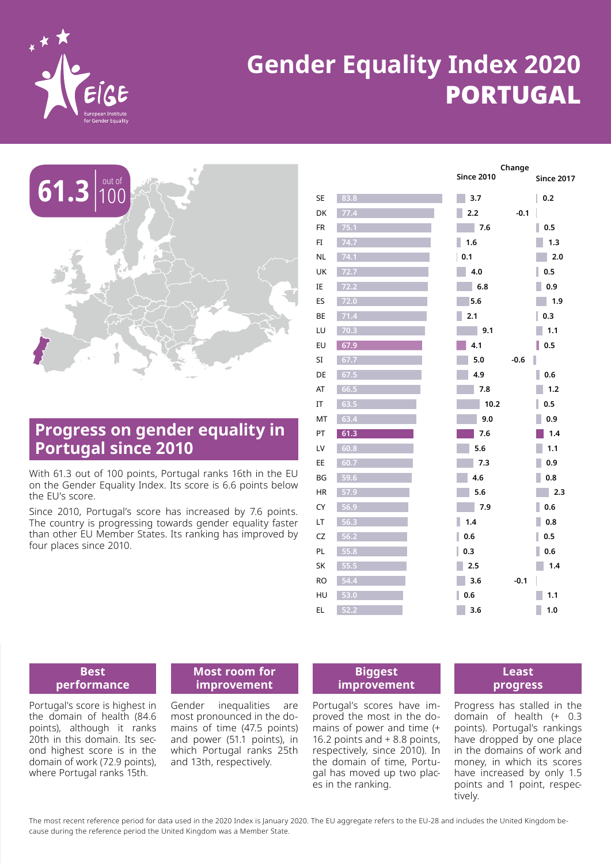

# **Gender Equality Index 2020** PORTUGAL



# **Progress on gender equality in Portugal since 2010**

With 61.3 out of 100 points, Portugal ranks 16th in the EU on the Gender Equality Index. Its score is 6.6 points below the EU's score.

Since 2010, Portugal's score has increased by 7.6 points. The country is progressing towards gender equality faster than other EU Member States. Its ranking has improved by four places since 2010.

|           |      | Change            |                   |
|-----------|------|-------------------|-------------------|
|           |      | <b>Since 2010</b> | <b>Since 2017</b> |
| <b>SE</b> | 83.8 | 3.7               | 0.2               |
| DK        | 77.4 | 2.2<br>$-0.1$     |                   |
| <b>FR</b> | 75.1 | a s<br>7.6        | 0.5               |
| FI        | 74.7 | 1.6               | 1.3               |
| <b>NL</b> | 74.1 | 0.1               | 2.0               |
| UK        | 72.7 | 4.0               | 0.5               |
| ΙE        | 72.2 | 6.8               | 0.9               |
| ES        | 72.0 | 5.6               | 1.9               |
| BE        | 71.4 | 2.1               | 0.3               |
| LU        | 70.3 | 9.1<br>m.         | 1.1               |
| EU        | 67.9 | 4.1               | 0.5               |
| SI        | 67.7 | 5.0<br>$-0.6$     |                   |
| DE        | 67.5 | 4.9               | 0.6               |
| AT        | 66.5 | 7.8               | 1.2               |
| ΙT        | 63.5 | 10.2              | 0.5               |
| MT        | 63.4 | 9.0               | 0.9               |
| PT        | 61.3 | 7.6               | 1.4               |
| LV        | 60.8 | 5.6               | 1.1               |
| EE        | 60.7 | 7.3               | 0.9               |
| BG        | 59.6 | 4.6               | 0.8               |
| <b>HR</b> | 57.9 | 5.6               | 2.3               |
| CY        | 56.9 | 7.9               | 0.6               |
| LT        | 56.3 | 1.4               | 0.8               |
| CZ        | 56.2 | 0.6               | 0.5               |
| PL        | 55.8 | ı<br>0.3          | 0.6               |
| SK        | 55.5 | 2.5               | 1.4               |
| <b>RO</b> | 54.4 | 3.6<br>$-0.1$     |                   |
| HU        | 53.0 | L<br>0.6          | 1.1               |
| EL        | 52.2 | 3.6               | 1.0               |
|           |      |                   |                   |

### **Best performance**

Portugal's score is highest in the domain of health (84.6 points), although it ranks 20th in this domain. Its second highest score is in the domain of work (72.9 points), where Portugal ranks 15th.

### **Most room for improvement**

Gender inequalities are most pronounced in the domains of time (47.5 points) and power (51.1 points), in which Portugal ranks 25th and 13th, respectively.

**Biggest improvement**

Portugal's scores have improved the most in the domains of power and time (+ 16.2 points and + 8.8 points, respectively, since 2010). In the domain of time, Portugal has moved up two places in the ranking.

### **Least progress**

Progress has stalled in the domain of health (+ 0.3 points). Portugal's rankings have dropped by one place in the domains of work and money, in which its scores have increased by only 1.5 points and 1 point, respectively.

The most recent reference period for data used in the 2020 Index is January 2020. The EU aggregate refers to the EU-28 and includes the United Kingdom because during the reference period the United Kingdom was a Member State.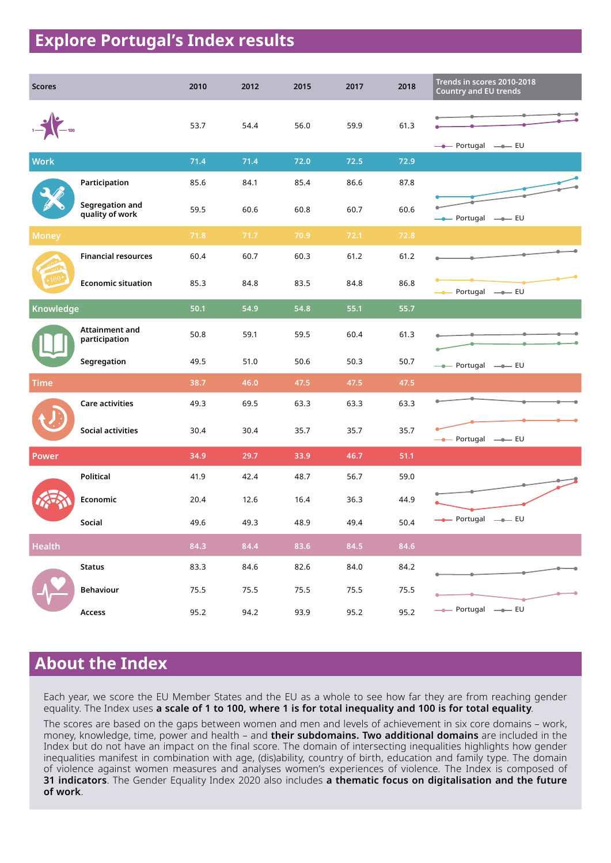# **Explore Portugal's Index results**

| <b>Scores</b> |                                    | 2010 | 2012 | 2015 | 2017 | 2018 | Trends in scores 2010-2018<br><b>Country and EU trends</b> |
|---------------|------------------------------------|------|------|------|------|------|------------------------------------------------------------|
|               |                                    | 53.7 | 54.4 | 56.0 | 59.9 | 61.3 | -- Portugal --- EU                                         |
| <b>Work</b>   |                                    | 71.4 | 71.4 | 72.0 | 72.5 | 72.9 |                                                            |
|               | Participation                      | 85.6 | 84.1 | 85.4 | 86.6 | 87.8 |                                                            |
|               | Segregation and<br>quality of work | 59.5 | 60.6 | 60.8 | 60.7 | 60.6 | - Portugal - EU                                            |
| <b>Money</b>  |                                    | 71.8 | 71.7 | 70.9 | 72.1 | 72.8 |                                                            |
|               | <b>Financial resources</b>         | 60.4 | 60.7 | 60.3 | 61.2 | 61.2 |                                                            |
|               | <b>Economic situation</b>          | 85.3 | 84.8 | 83.5 | 84.8 | 86.8 | -- Portugal -- EU                                          |
| Knowledge     |                                    | 50.1 | 54.9 | 54.8 | 55.1 | 55.7 |                                                            |
|               | Attainment and<br>participation    | 50.8 | 59.1 | 59.5 | 60.4 | 61.3 |                                                            |
|               | Segregation                        | 49.5 | 51.0 | 50.6 | 50.3 | 50.7 | -- Portugal -- EU                                          |
| <b>Time</b>   |                                    | 38.7 | 46.0 | 47.5 | 47.5 | 47.5 |                                                            |
|               | Care activities                    | 49.3 | 69.5 | 63.3 | 63.3 | 63.3 |                                                            |
|               | <b>Social activities</b>           | 30.4 | 30.4 | 35.7 | 35.7 | 35.7 | --- Portugal --- EU                                        |
| Power         |                                    | 34.9 | 29.7 | 33.9 | 46.7 | 51.1 |                                                            |
|               | <b>Political</b>                   | 41.9 | 42.4 | 48.7 | 56.7 | 59.0 |                                                            |
|               | Economic                           | 20.4 | 12.6 | 16.4 | 36.3 | 44.9 |                                                            |
|               | Social                             | 49.6 | 49.3 | 48.9 | 49.4 | 50.4 | -- Portugal -- EU                                          |
| <b>Health</b> |                                    | 84.3 | 84.4 | 83.6 | 84.5 | 84.6 |                                                            |
|               | <b>Status</b>                      | 83.3 | 84.6 | 82.6 | 84.0 | 84.2 |                                                            |
|               | <b>Behaviour</b>                   | 75.5 | 75.5 | 75.5 | 75.5 | 75.5 |                                                            |
|               | Access                             | 95.2 | 94.2 | 93.9 | 95.2 | 95.2 | - Portugal - EU                                            |

# **About the Index**

Each year, we score the EU Member States and the EU as a whole to see how far they are from reaching gender equality. The Index uses **a scale of 1 to 100, where 1 is for total inequality and 100 is for total equality**.

The scores are based on the gaps between women and men and levels of achievement in six core domains – work, money, knowledge, time, power and health – and **their subdomains. Two additional domains** are included in the Index but do not have an impact on the final score. The domain of intersecting inequalities highlights how gender inequalities manifest in combination with age, (dis)ability, country of birth, education and family type. The domain of violence against women measures and analyses women's experiences of violence. The Index is composed of **31 indicators**. The Gender Equality Index 2020 also includes **a thematic focus on digitalisation and the future of work**.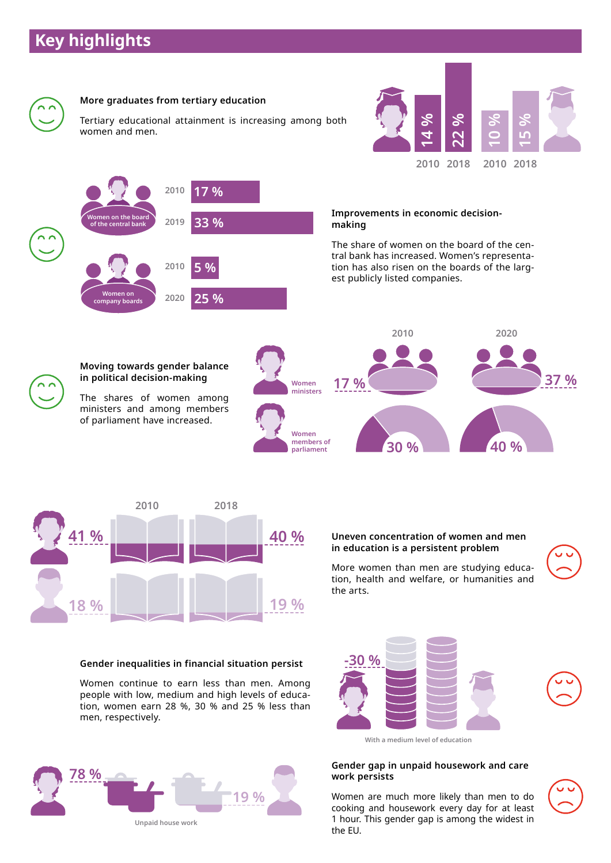# **Key highlights**





### **Uneven concentration of women and men in education is a persistent problem**

More women than men are studying education, health and welfare, or humanities and the arts.



**37 %**

**15 %**

# **-30 %**



### **Gender inequalities in financial situation persist**

Women continue to earn less than men. Among people with low, medium and high levels of education, women earn 28 %, 30 % and 25 % less than men, respectively.





### **Gender gap in unpaid housework and care work persists**

Women are much more likely than men to do cooking and housework every day for at least 1 hour. This gender gap is among the widest in the EU.



**78 % 19 % Unpaid house work**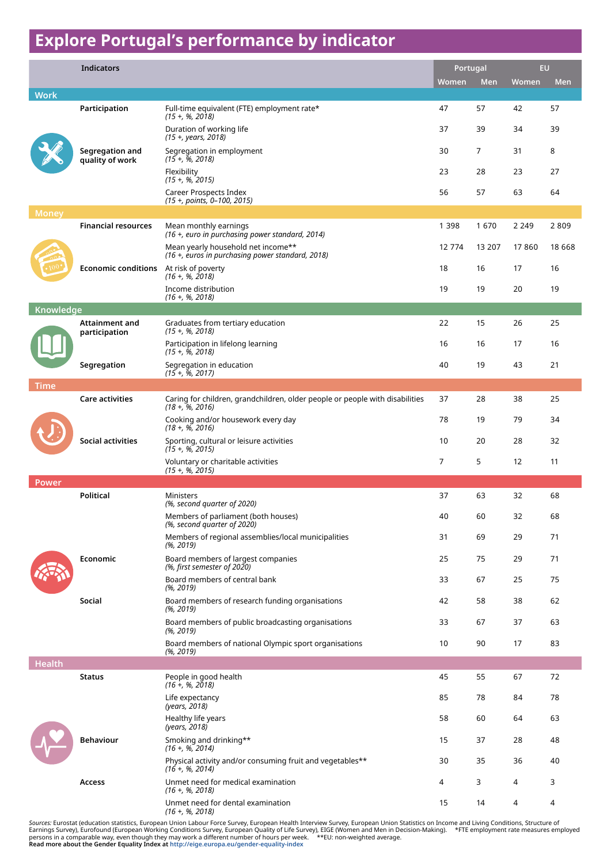# **Explore Portugal's performance by indicator**

|               | <b>Indicators</b>                      |                                                                                                     |                | Portugal |         | EU.        |  |
|---------------|----------------------------------------|-----------------------------------------------------------------------------------------------------|----------------|----------|---------|------------|--|
|               |                                        |                                                                                                     | Women          | Men      | Women   | <b>Men</b> |  |
| <b>Work</b>   | Participation                          | Full-time equivalent (FTE) employment rate*                                                         | 47             | 57       | 42      | 57         |  |
|               |                                        | $(15 + 96, 2018)$<br>Duration of working life<br>(15 +, years, 2018)                                | 37             | 39       | 34      | 39         |  |
|               | Segregation and<br>quality of work     | Segregation in employment<br>$(15 + 96, 2018)$                                                      | 30             | 7        | 31      | 8          |  |
|               |                                        | Flexibility<br>$(15 + 96, 2015)$                                                                    | 23             | 28       | 23      | 27         |  |
|               |                                        | Career Prospects Index<br>(15 +, points, 0-100, 2015)                                               | 56             | 57       | 63      | 64         |  |
| <b>Money</b>  |                                        |                                                                                                     |                |          |         |            |  |
|               | <b>Financial resources</b>             | Mean monthly earnings<br>(16 +, euro in purchasing power standard, 2014)                            | 1 3 9 8        | 1670     | 2 2 4 9 | 2809       |  |
|               |                                        | Mean yearly household net income**<br>(16 +, euros in purchasing power standard, 2018)              | 12 7 74        | 13 207   | 17860   | 18 6 68    |  |
|               | <b>Economic conditions</b>             | At risk of poverty<br>$(16 + 96, 2018)$                                                             | 18             | 16       | 17      | 16         |  |
|               |                                        | Income distribution<br>$(16 + $ , %, 2018)                                                          | 19             | 19       | 20      | 19         |  |
| Knowledge     |                                        |                                                                                                     |                |          |         |            |  |
|               | <b>Attainment and</b><br>participation | Graduates from tertiary education<br>$(15 + , % 2018)$                                              | 22             | 15       | 26      | 25         |  |
|               |                                        | Participation in lifelong learning<br>$(15 + 96, 2018)$                                             | 16             | 16       | 17      | 16         |  |
|               | Segregation                            | Segregation in education<br>$(15 + $ , %, 2017)                                                     | 40             | 19       | 43      | 21         |  |
| <b>Time</b>   |                                        |                                                                                                     |                |          |         |            |  |
|               | <b>Care activities</b>                 | Caring for children, grandchildren, older people or people with disabilities<br>$(18 + $ , %, 2016) | 37             | 28       | 38      | 25         |  |
|               |                                        | Cooking and/or housework every day<br>$(18 + 96, 2016)$                                             | 78             | 19       | 79      | 34         |  |
|               | Social activities                      | Sporting, cultural or leisure activities<br>$(15 + 96, 2015)$                                       | 10             | 20       | 28      | 32         |  |
|               |                                        | Voluntary or charitable activities<br>$(15 + 96, 2015)$                                             | $\overline{7}$ | 5        | 12      | 11         |  |
| <b>Power</b>  |                                        |                                                                                                     |                |          |         |            |  |
|               | <b>Political</b>                       | <b>Ministers</b><br>(%, second quarter of 2020)                                                     | 37             | 63       | 32      | 68         |  |
|               |                                        | Members of parliament (both houses)<br>(%, second quarter of 2020)                                  | 40             | 60       | 32      | 68         |  |
|               |                                        | Members of regional assemblies/local municipalities<br>(%, 2019)                                    | 31             | 69       | 29      | 71         |  |
|               | Economic                               | Board members of largest companies<br>(%, first semester of 2020)                                   | 25             | 75       | 29      | 71         |  |
|               |                                        | Board members of central bank<br>(%, 2019)                                                          | 33             | 67       | 25      | 75         |  |
|               | Social                                 | Board members of research funding organisations<br>(%, 2019)                                        | 42             | 58       | 38      | 62         |  |
|               |                                        | Board members of public broadcasting organisations<br>(%, 2019)                                     | 33             | 67       | 37      | 63         |  |
|               |                                        | Board members of national Olympic sport organisations<br>(%, 2019)                                  | 10             | 90       | 17      | 83         |  |
| <b>Health</b> |                                        |                                                                                                     |                |          |         |            |  |
|               | <b>Status</b>                          | People in good health<br>$(16 + 96, 2018)$                                                          | 45             | 55       | 67      | 72         |  |
|               |                                        | Life expectancy<br>(years, 2018)                                                                    | 85             | 78       | 84      | 78         |  |
|               |                                        | Healthy life years<br>(years, 2018)                                                                 | 58             | 60       | 64      | 63         |  |
|               | <b>Behaviour</b>                       | Smoking and drinking**<br>$(16 + 96, 2014)$                                                         | 15             | 37       | 28      | 48         |  |
|               |                                        | Physical activity and/or consuming fruit and vegetables**<br>$(16 + 96, 2014)$                      | 30             | 35       | 36      | 40         |  |
|               | Access                                 | Unmet need for medical examination<br>$(16 + $ , %, 2018)                                           | 4              | 3        | 4       | 3          |  |
|               |                                        | Unmet need for dental examination<br>$(16 + 96, 2018)$                                              | 15             | 14       | 4       | 4          |  |

So*urces:* Eurostat (education statistics, European Union Labour Force Survey, European Health Interview Survey, European Union Statistics on Income and Living Conditions, Structure of<br>Earnings Survey), Eurofound (Europea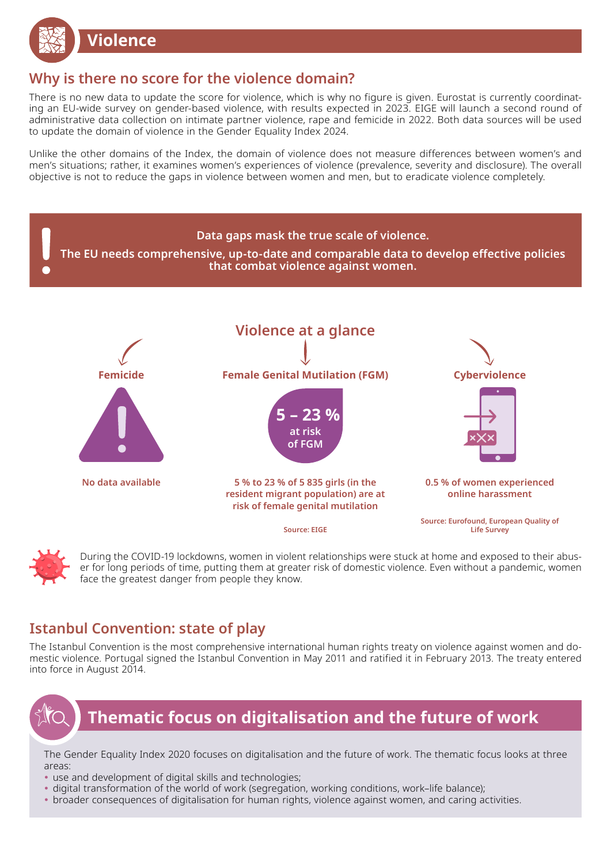

# **Why is there no score for the violence domain?**

There is no new data to update the score for violence, which is why no figure is given. Eurostat is currently coordinating an EU-wide survey on gender-based violence, with results expected in 2023. EIGE will launch a second round of administrative data collection on intimate partner violence, rape and femicide in 2022. Both data sources will be used to update the domain of violence in the Gender Equality Index 2024.

Unlike the other domains of the Index, the domain of violence does not measure differences between women's and men's situations; rather, it examines women's experiences of violence (prevalence, severity and disclosure). The overall objective is not to reduce the gaps in violence between women and men, but to eradicate violence completely.





During the COVID-19 lockdowns, women in violent relationships were stuck at home and exposed to their abuser for long periods of time, putting them at greater risk of domestic violence. Even without a pandemic, women face the greatest danger from people they know.

# **Istanbul Convention: state of play**

The Istanbul Convention is the most comprehensive international human rights treaty on violence against women and domestic violence. Portugal signed the Istanbul Convention in May 2011 and ratified it in February 2013. The treaty entered into force in August 2014.



# **Thematic focus on digitalisation and the future of work**

The Gender Equality Index 2020 focuses on digitalisation and the future of work. The thematic focus looks at three areas:

- use and development of digital skills and technologies;
- digital transformation of the world of work (segregation, working conditions, work–life balance);
- broader consequences of digitalisation for human rights, violence against women, and caring activities.